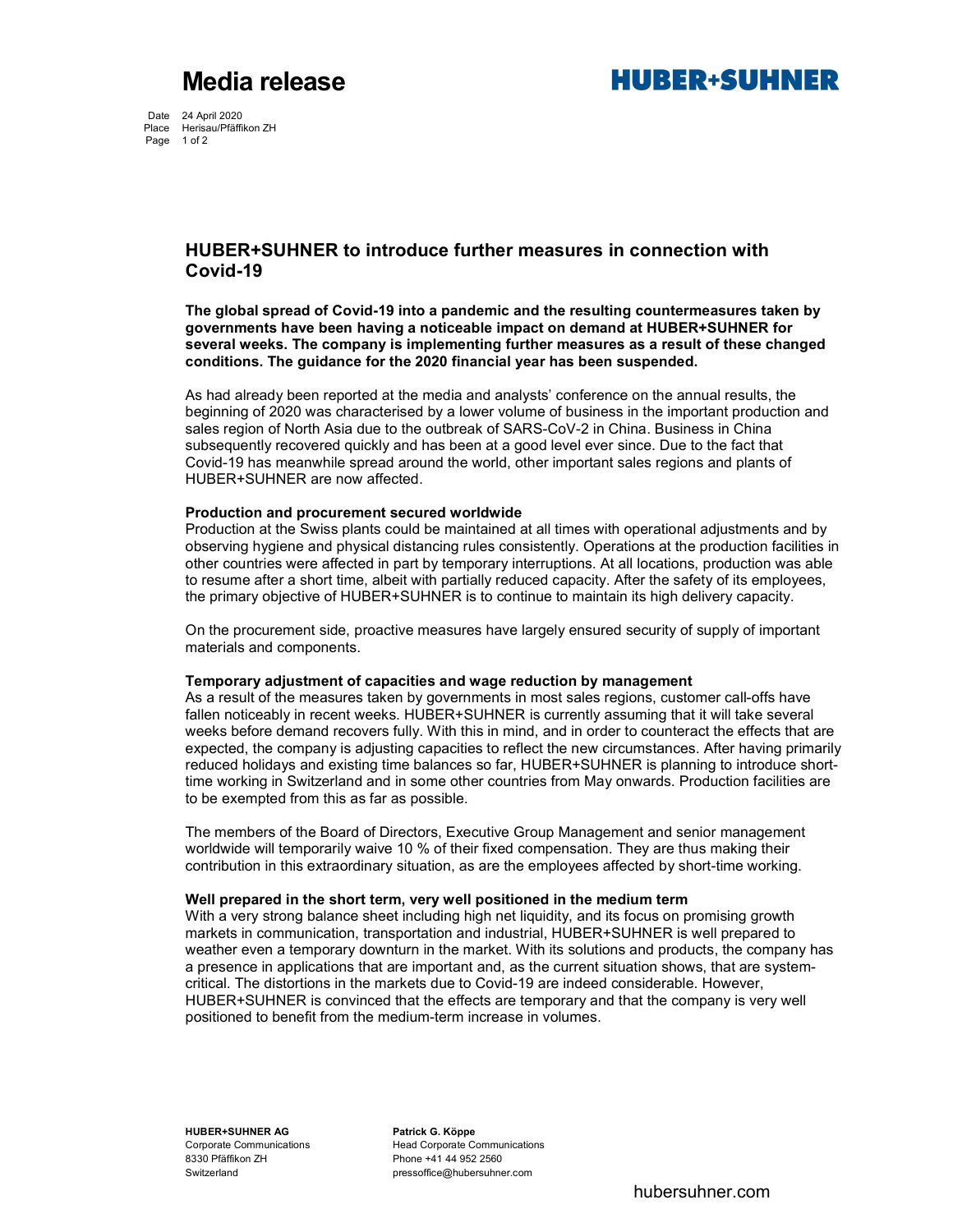Media release **August 2018** MUBER+SUHNER

Date 24 April 2020 Place Herisau/Pfäffikon ZH Page 1 of 2

# HUBER+SUHNER to introduce further measures in connection with Covid-19

The global spread of Covid-19 into a pandemic and the resulting countermeasures taken by governments have been having a noticeable impact on demand at HUBER+SUHNER for several weeks. The company is implementing further measures as a result of these changed conditions. The guidance for the 2020 financial year has been suspended.

As had already been reported at the media and analysts' conference on the annual results, the beginning of 2020 was characterised by a lower volume of business in the important production and sales region of North Asia due to the outbreak of SARS-CoV-2 in China. Business in China subsequently recovered quickly and has been at a good level ever since. Due to the fact that Covid-19 has meanwhile spread around the world, other important sales regions and plants of HUBER+SUHNER are now affected.

## Production and procurement secured worldwide

Production at the Swiss plants could be maintained at all times with operational adjustments and by observing hygiene and physical distancing rules consistently. Operations at the production facilities in other countries were affected in part by temporary interruptions. At all locations, production was able to resume after a short time, albeit with partially reduced capacity. After the safety of its employees, the primary objective of HUBER+SUHNER is to continue to maintain its high delivery capacity.

On the procurement side, proactive measures have largely ensured security of supply of important materials and components.

### Temporary adjustment of capacities and wage reduction by management

As a result of the measures taken by governments in most sales regions, customer call-offs have fallen noticeably in recent weeks. HUBER+SUHNER is currently assuming that it will take several weeks before demand recovers fully. With this in mind, and in order to counteract the effects that are expected, the company is adjusting capacities to reflect the new circumstances. After having primarily reduced holidays and existing time balances so far, HUBER+SUHNER is planning to introduce shorttime working in Switzerland and in some other countries from May onwards. Production facilities are to be exempted from this as far as possible.

The members of the Board of Directors, Executive Group Management and senior management worldwide will temporarily waive 10 % of their fixed compensation. They are thus making their contribution in this extraordinary situation, as are the employees affected by short-time working.

### Well prepared in the short term, very well positioned in the medium term

With a very strong balance sheet including high net liquidity, and its focus on promising growth markets in communication, transportation and industrial, HUBER+SUHNER is well prepared to weather even a temporary downturn in the market. With its solutions and products, the company has a presence in applications that are important and, as the current situation shows, that are systemcritical. The distortions in the markets due to Covid-19 are indeed considerable. However, HUBER+SUHNER is convinced that the effects are temporary and that the company is very well positioned to benefit from the medium-term increase in volumes.

HUBER+SUHNER AG Patrick G. Köppe 8330 Pfäffikon ZH Phone +41 44 952 2560

Corporate Communications 
Head Corporate Communications Switzerland pressoffice@hubersuhner.com

hubersuhner.com